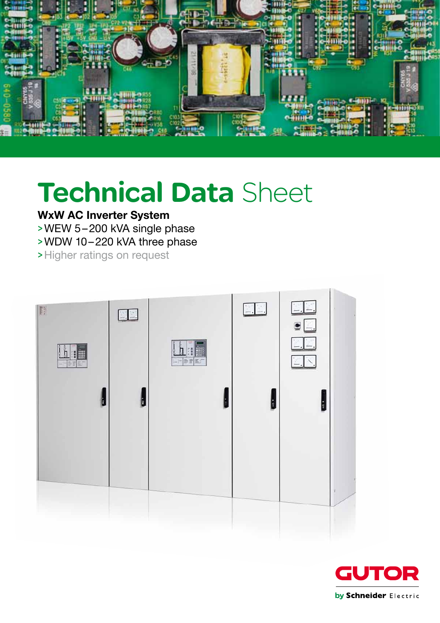

# Technical Data Sheet

# WxW AC Inverter System

>WEW 5–200 kVA single phase

>WDW 10–220 kVA three phase

>Higher ratings on request

| F<br>h<br>Seiz | $\Box$ .<br>b | h : E<br>나 바퀴 | $\frac{1}{\sqrt{2}}$<br>ĥ | $\Box$<br>$\bullet \Box$<br>EL.<br>$\mathbb{Z}$ $\mathbb{N}$ |  |
|----------------|---------------|---------------|---------------------------|--------------------------------------------------------------|--|
|                |               |               |                           |                                                              |  |

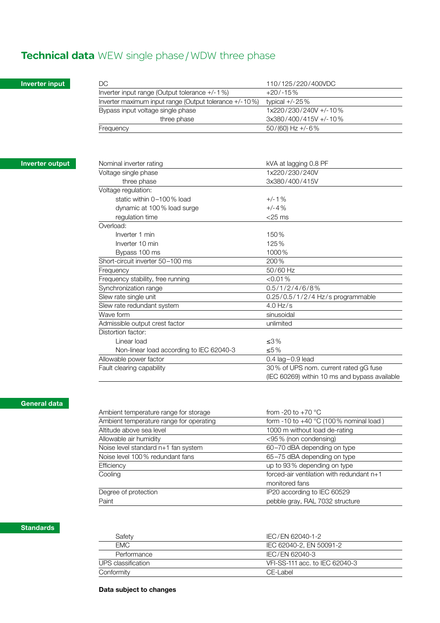# Technical data WEW single phase/WDW three phase

# Inverter input

| DC.                                                    | 110/125/220/400VDC    |
|--------------------------------------------------------|-----------------------|
| Inverter input range (Output tolerance $+/-1$ %)       | $+20/ -15%$           |
| Inverter maximum input range (Output tolerance +/-10%) | typical $+/-25\%$     |
| Bypass input voltage single phase                      | 1x220/230/240V +/-10% |
| three phase                                            | 3x380/400/415V +/-10% |
| Frequency                                              | $50/(60)$ Hz +/-6%    |

# Inverter output

| Nominal inverter rating                  | kVA at lagging 0.8 PF                         |
|------------------------------------------|-----------------------------------------------|
| Voltage single phase                     | 1x220/230/240V                                |
| three phase                              | 3x380/400/415V                                |
| Voltage regulation:                      |                                               |
| static within $0-100\%$ load             | $+/-1$ %                                      |
| dynamic at 100% load surge               | $+/-4%$                                       |
| regulation time                          | $<$ 25 ms                                     |
| Overload:                                |                                               |
| Inverter 1 min                           | 150%                                          |
| Inverter 10 min                          | 125%                                          |
| Bypass 100 ms                            | 1000%                                         |
| Short-circuit inverter 50-100 ms         | 200%                                          |
| Frequency                                | 50/60 Hz                                      |
| Frequency stability, free running        | < 0.01 %                                      |
| Synchronization range                    | 0.5/1/2/4/6/8%                                |
| Slew rate single unit                    | $0.25/0.5/1/2/4$ Hz/s programmable            |
| Slew rate redundant system               | $4.0$ Hz/s                                    |
| Wave form                                | sinusoidal                                    |
| Admissible output crest factor           | unlimited                                     |
| Distortion factor:                       |                                               |
| Linear load                              | $< 3\%$                                       |
| Non-linear load according to IEC 62040-3 | $\leq 5\%$                                    |
| Allowable power factor                   | $0.4$ lag $-0.9$ lead                         |
| Fault clearing capability                | 30% of UPS nom. current rated gG fuse         |
|                                          | (IEC 60269) within 10 ms and bypass available |
|                                          |                                               |

# General data

| Ambient temperature range for storage   | from -20 to +70 $^{\circ}$ C                    |
|-----------------------------------------|-------------------------------------------------|
| Ambient temperature range for operating | form -10 to +40 $\degree$ C (100% nominal load) |
| Altitude above sea level                | 1000 m without load de-rating                   |
| Allowable air humidity                  | <95% (non condensing)                           |
| Noise level standard n+1 fan system     | 60-70 dBA depending on type                     |
| Noise level 100% redundant fans         | 65-75 dBA depending on type                     |
| Efficiency                              | up to 93% depending on type                     |
| Cooling                                 | forced-air ventilation with redundant $n+1$     |
|                                         | monitored fans                                  |
| Degree of protection                    | IP20 according to IEC 60529                     |
| Paint                                   | pebble gray, RAL 7032 structure                 |

### **Standards**

| Safety             | IEC/EN 62040-1-2               |
|--------------------|--------------------------------|
| FMC.               | IEC 62040-2, EN 50091-2        |
| Performance        | IEC/EN 62040-3                 |
| UPS classification | VFI-SS-111 acc. to IEC 62040-3 |
| Conformitv         | CE-Label                       |

# Data subject to changes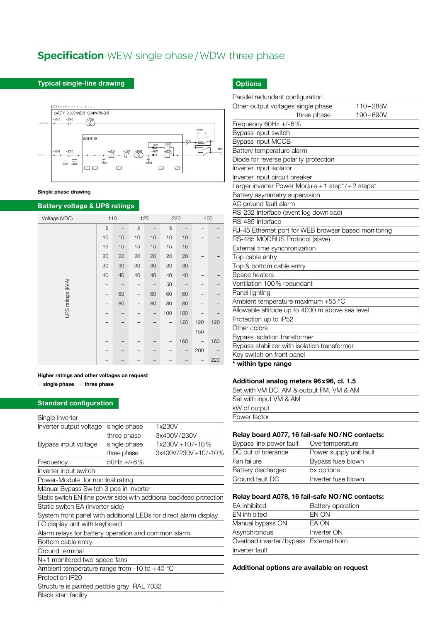# **Specification** WEW single phase/WDW three phase

#### Typical single-line drawing



#### Single phase drawing

# Battery voltage & UPS ratings

| Voltage (VDC)     | 110 |    | 125 |    |     | 220 | 400 |     |
|-------------------|-----|----|-----|----|-----|-----|-----|-----|
|                   | 5   |    | 5   |    | 5   |     |     |     |
|                   | 10  | 10 | 10  | 10 | 10  | 10  | -   |     |
|                   | 15  | 15 | 15  | 15 | 15  | 15  |     |     |
|                   | 20  | 20 | 20  | 20 | 20  | 20  |     |     |
|                   | 30  | 30 | 30  | 30 | 30  | 30  |     |     |
|                   | 40  | 40 | 40  | 40 | 40  | 40  |     |     |
|                   |     |    |     |    | 50  |     |     |     |
|                   |     | 60 |     | 60 | 60  | 60  |     |     |
| UPS ratings (kVA) |     | 80 |     | 80 | 80  | 80  |     |     |
|                   |     |    |     | -  | 100 | 100 |     |     |
|                   |     |    |     |    |     | 120 | 120 | 120 |
|                   |     |    |     |    |     |     | 150 |     |
|                   |     |    |     |    |     | 160 |     | 160 |
|                   |     |    |     |    |     | -   | 200 |     |
|                   |     |    |     |    |     |     |     | 220 |

#### Higher ratings and other voltages on request

■ single phase ■ three phase

#### Standard configuration

# Single Inverter

| יש יש יו יי שיפי ייש                                                   |              |                      |  |  |  |
|------------------------------------------------------------------------|--------------|----------------------|--|--|--|
| Inverter output voltage                                                | single phase | 1x230V               |  |  |  |
|                                                                        | three phase  | 3x400V/230V          |  |  |  |
| Bypass input voltage                                                   | single phase | 1x230V +10/-10%      |  |  |  |
|                                                                        | three phase  | 3x400V/230V +10/-10% |  |  |  |
| Frequency                                                              | $50Hz + -6%$ |                      |  |  |  |
| Inverter input switch                                                  |              |                      |  |  |  |
| Power-Module for nominal rating                                        |              |                      |  |  |  |
| Manual Bypass Switch 3 pos in Inverter                                 |              |                      |  |  |  |
| Static switch EN (line power side) with additional backfeed protection |              |                      |  |  |  |
| Static switch EA (Inverter side)                                       |              |                      |  |  |  |
| System front panel with additional LEDs for direct alarm display       |              |                      |  |  |  |
| LC display unit with keyboard                                          |              |                      |  |  |  |
| Alarm relays for battery operation and common alarm                    |              |                      |  |  |  |
| Bottom cable entry                                                     |              |                      |  |  |  |
| Ground terminal                                                        |              |                      |  |  |  |
| N+1 monitored two-speed fans                                           |              |                      |  |  |  |
| Ambient temperature range from -10 to +40 $^{\circ}$ C                 |              |                      |  |  |  |
| Protection IP20                                                        |              |                      |  |  |  |
| Structure is painted pebble gray, RAL 7032                             |              |                      |  |  |  |
| <b>Black start facility</b>                                            |              |                      |  |  |  |

# **Options**

| Parallel redundant configuration                     |  |
|------------------------------------------------------|--|
| Other output voltages single phase<br>110-288V       |  |
| three phase<br>190-690V                              |  |
| Frequency 60Hz +/-6%                                 |  |
| Bypass input switch                                  |  |
| <b>Bypass input MCCB</b>                             |  |
| Battery temperature alarm                            |  |
| Diode for reverse polarity protection                |  |
| Inverter input isolator                              |  |
| Inverter input circuit breaker                       |  |
| Larger inverter Power Module +1 step*/+2 steps*      |  |
| Battery asymmetry supervision                        |  |
| AC ground fault alarm                                |  |
| RS-232 Interface (event log download)                |  |
| RS-485 Interface                                     |  |
| RJ-45 Ethernet port for WEB browser based monitoring |  |
| RS-485 MODBUS Protocol (slave)                       |  |
| External time synchronization                        |  |
| Top cable entry                                      |  |
| Top & bottom cable entry                             |  |
| Space heaters                                        |  |
| Ventilation 100% redundant                           |  |
| Panel lighting                                       |  |
| Ambient temperature maximum +55 °C                   |  |
| Allowable altitude up to 4000 m above sea level      |  |
| Protection up to IP52                                |  |
| Other colors                                         |  |
| Bypass isolation transformer                         |  |
| Bypass stabilizer with isolation transformer         |  |
| Key switch on front panel                            |  |
| * within type range                                  |  |

#### Additional analog meters 96x96, cl. 1.5

| Set with VM DC, AM & output FM, VM & AM |
|-----------------------------------------|
| Set with input VM & AM                  |
| kW of output                            |
| Power factor                            |

# Relay board A077, 16 fail-safe NO/NC contacts:

| Bypass line power fault | Overtemperature         |
|-------------------------|-------------------------|
| DC out of tolerance     | Power supply unit fault |
| Fan failure             | Bypass fuse blown       |
| Battery discharged      | 5x options              |
| Ground fault DC         | Inverter fuse blown     |

#### Relay board A078, 16 fail-safe NO/NC contacts:

| EA inhibited                           | Battery operation |
|----------------------------------------|-------------------|
| <b>EN</b> inhibited                    | EN ON             |
| Manual bypass ON                       | EA ON             |
| Asynchronous                           | Inverter ON       |
| Overload inverter/bypass External horn |                   |
| Inverter fault                         |                   |
|                                        |                   |

#### Additional options are available on request